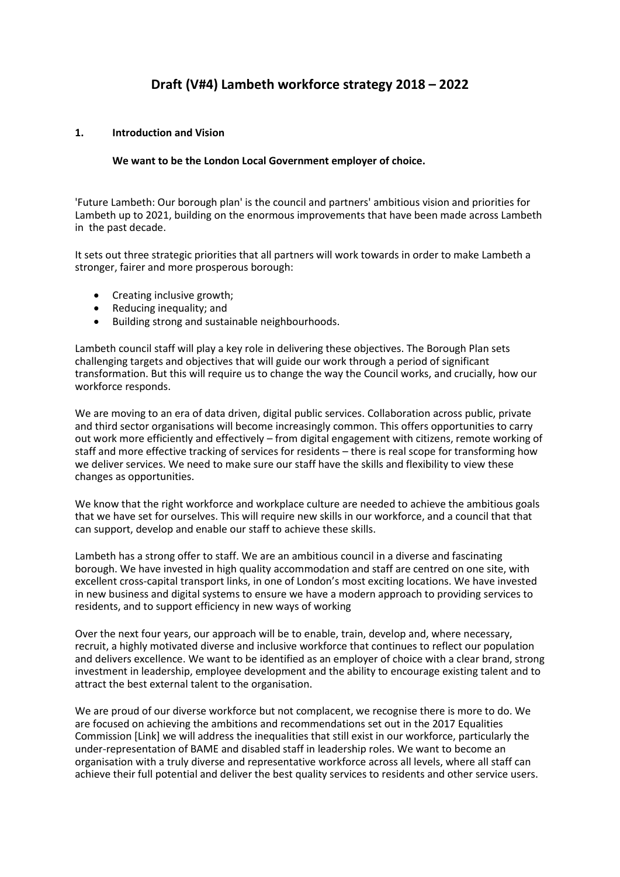## **Draft (V#4) Lambeth workforce strategy 2018 – 2022**

### **1. Introduction and Vision**

#### **We want to be the London Local Government employer of choice.**

'Future Lambeth: Our borough plan' is the council and partners' ambitious vision and priorities for Lambeth up to 2021, building on the enormous improvements that have been made across Lambeth in the past decade.

It sets out three strategic priorities that all partners will work towards in order to make Lambeth a stronger, fairer and more prosperous borough:

- Creating inclusive growth;<br>• Reducing inequality: and
- Reducing inequality; and
- Building strong and sustainable neighbourhoods.

Lambeth council staff will play a key role in delivering these objectives. The Borough Plan sets challenging targets and objectives that will guide our work through a period of significant transformation. But this will require us to change the way the Council works, and crucially, how our workforce responds.

We are moving to an era of data driven, digital public services. Collaboration across public, private and third sector organisations will become increasingly common. This offers opportunities to carry out work more efficiently and effectively – from digital engagement with citizens, remote working of staff and more effective tracking of services for residents – there is real scope for transforming how we deliver services. We need to make sure our staff have the skills and flexibility to view these changes as opportunities.

We know that the right workforce and workplace culture are needed to achieve the ambitious goals that we have set for ourselves. This will require new skills in our workforce, and a council that that can support, develop and enable our staff to achieve these skills.

Lambeth has a strong offer to staff. We are an ambitious council in a diverse and fascinating borough. We have invested in high quality accommodation and staff are centred on one site, with excellent cross-capital transport links, in one of London's most exciting locations. We have invested in new business and digital systems to ensure we have a modern approach to providing services to residents, and to support efficiency in new ways of working

Over the next four years, our approach will be to enable, train, develop and, where necessary, recruit, a highly motivated diverse and inclusive workforce that continues to reflect our population and delivers excellence. We want to be identified as an employer of choice with a clear brand, strong investment in leadership, employee development and the ability to encourage existing talent and to attract the best external talent to the organisation.

We are proud of our diverse workforce but not complacent, we recognise there is more to do. We are focused on achieving the ambitions and recommendations set out in the 2017 Equalities Commission [Link] we will address the inequalities that still exist in our workforce, particularly the under-representation of BAME and disabled staff in leadership roles. We want to become an organisation with a truly diverse and representative workforce across all levels, where all staff can achieve their full potential and deliver the best quality services to residents and other service users.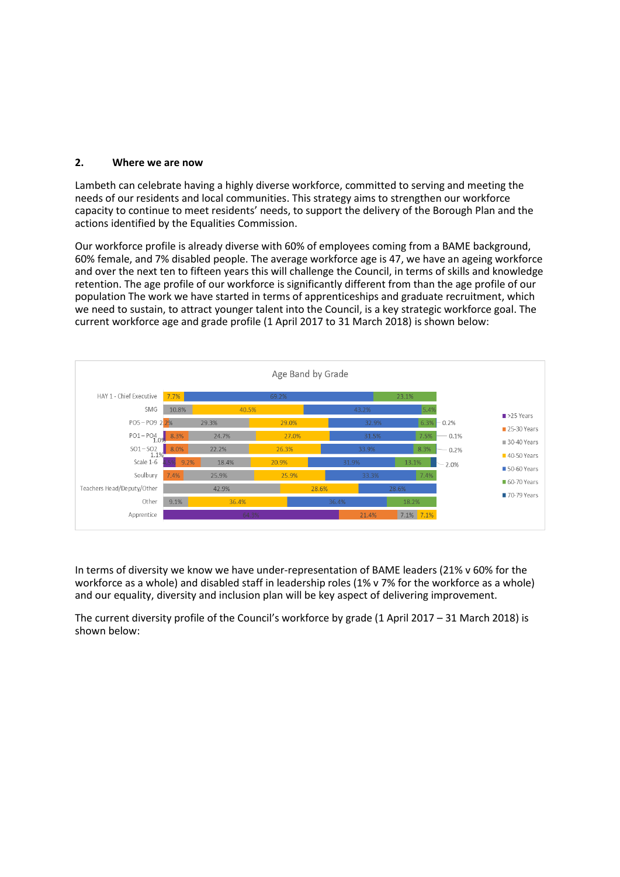#### **2. Where we are now**

Lambeth can celebrate having a highly diverse workforce, committed to serving and meeting the needs of our residents and local communities. This strategy aims to strengthen our workforce capacity to continue to meet residents' needs, to support the delivery of the Borough Plan and the actions identified by the Equalities Commission.

Our workforce profile is already diverse with 60% of employees coming from a BAME background, 60% female, and 7% disabled people. The average workforce age is 47, we have an ageing workforce and over the next ten to fifteen years this will challenge the Council, in terms of skills and knowledge retention. The age profile of our workforce is significantly different from than the age profile of our population The work we have started in terms of apprenticeships and graduate recruitment, which we need to sustain, to attract younger talent into the Council, is a key strategic workforce goal. The current workforce age and grade profile (1 April 2017 to 31 March 2018) is shown below:



In terms of diversity we know we have under-representation of BAME leaders (21% v 60% for the workforce as a whole) and disabled staff in leadership roles (1% v 7% for the workforce as a whole) and our equality, diversity and inclusion plan will be key aspect of delivering improvement.

The current diversity profile of the Council's workforce by grade (1 April 2017 – 31 March 2018) is shown below: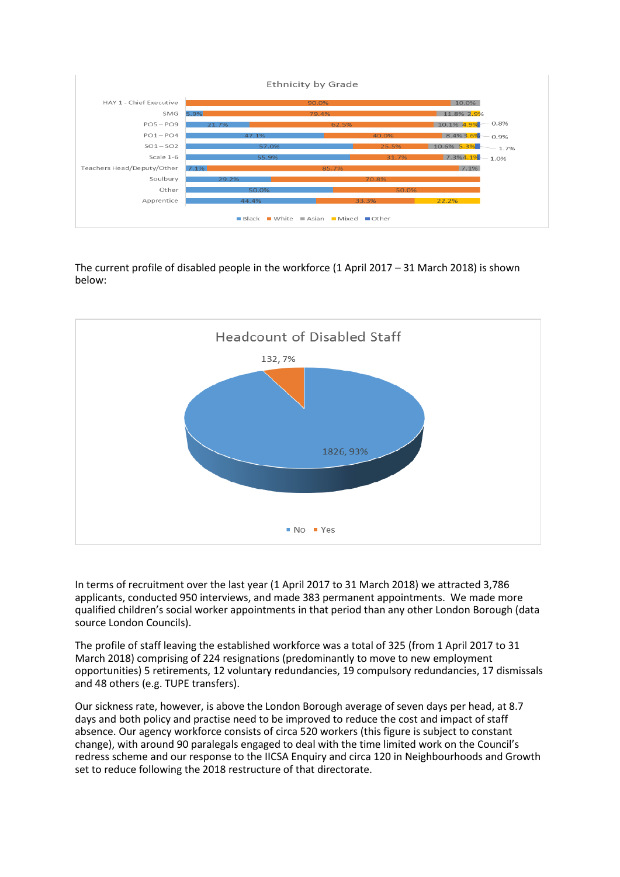

The current profile of disabled people in the workforce (1 April 2017 – 31 March 2018) is shown below:



In terms of recruitment over the last year (1 April 2017 to 31 March 2018) we attracted 3,786 applicants, conducted 950 interviews, and made 383 permanent appointments. We made more qualified children's social worker appointments in that period than any other London Borough (data source London Councils).

The profile of staff leaving the established workforce was a total of 325 (from 1 April 2017 to 31 March 2018) comprising of 224 resignations (predominantly to move to new employment opportunities) 5 retirements, 12 voluntary redundancies, 19 compulsory redundancies, 17 dismissals and 48 others (e.g. TUPE transfers).

Our sickness rate, however, is above the London Borough average of seven days per head, at 8.7 days and both policy and practise need to be improved to reduce the cost and impact of staff absence. Our agency workforce consists of circa 520 workers (this figure is subject to constant change), with around 90 paralegals engaged to deal with the time limited work on the Council's redress scheme and our response to the IICSA Enquiry and circa 120 in Neighbourhoods and Growth set to reduce following the 2018 restructure of that directorate.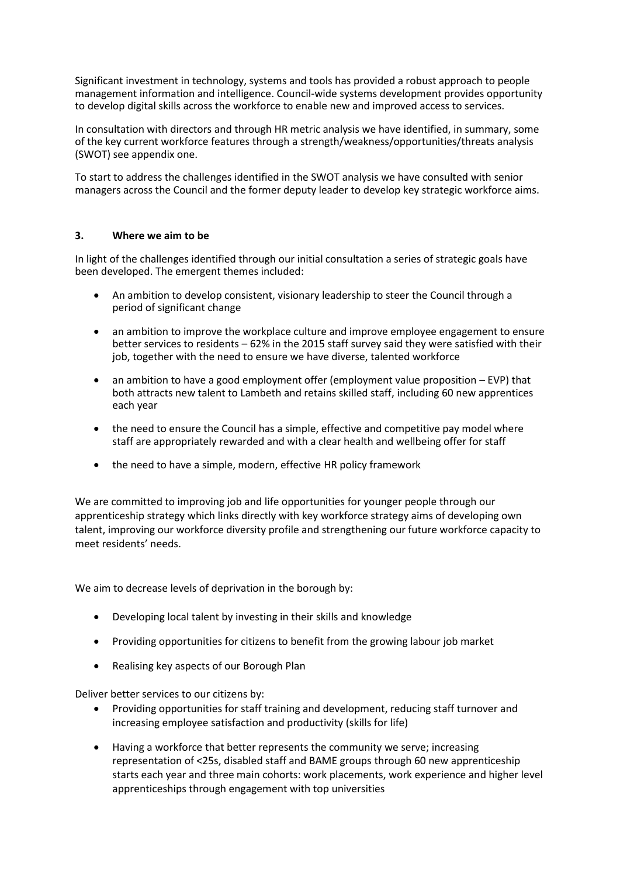Significant investment in technology, systems and tools has provided a robust approach to people management information and intelligence. Council-wide systems development provides opportunity to develop digital skills across the workforce to enable new and improved access to services.

In consultation with directors and through HR metric analysis we have identified, in summary, some of the key current workforce features through a strength/weakness/opportunities/threats analysis (SWOT) see appendix one.

To start to address the challenges identified in the SWOT analysis we have consulted with senior managers across the Council and the former deputy leader to develop key strategic workforce aims.

### **3. Where we aim to be**

In light of the challenges identified through our initial consultation a series of strategic goals have been developed. The emergent themes included:

- An ambition to develop consistent, visionary leadership to steer the Council through a period of significant change
- an ambition to improve the workplace culture and improve employee engagement to ensure better services to residents – 62% in the 2015 staff survey said they were satisfied with their job, together with the need to ensure we have diverse, talented workforce
- an ambition to have a good employment offer (employment value proposition EVP) that both attracts new talent to Lambeth and retains skilled staff, including 60 new apprentices each year
- the need to ensure the Council has a simple, effective and competitive pay model where staff are appropriately rewarded and with a clear health and wellbeing offer for staff
- the need to have a simple, modern, effective HR policy framework

We are committed to improving job and life opportunities for younger people through our apprenticeship strategy which links directly with key workforce strategy aims of developing own talent, improving our workforce diversity profile and strengthening our future workforce capacity to meet residents' needs.

We aim to decrease levels of deprivation in the borough by:

- Developing local talent by investing in their skills and knowledge
- Providing opportunities for citizens to benefit from the growing labour job market
- Realising key aspects of our Borough Plan

Deliver better services to our citizens by:

- Providing opportunities for staff training and development, reducing staff turnover and increasing employee satisfaction and productivity (skills for life)
- Having a workforce that better represents the community we serve; increasing representation of <25s, disabled staff and BAME groups through 60 new apprenticeship starts each year and three main cohorts: work placements, work experience and higher level apprenticeships through engagement with top universities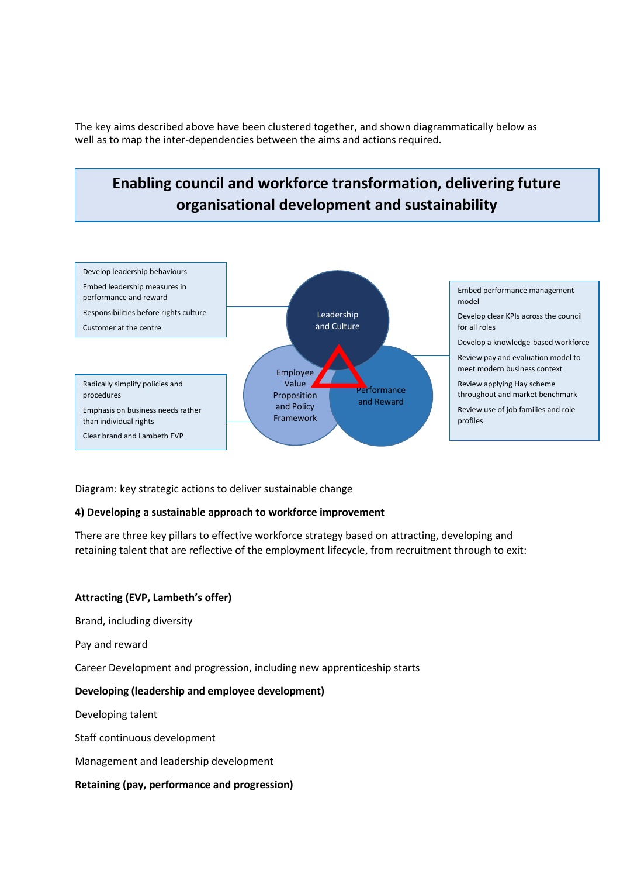The key aims described above have been clustered together, and shown diagrammatically below as well as to map the inter-dependencies between the aims and actions required.

# **Enabling council and workforce transformation, delivering future organisational development and sustainability**



Diagram: key strategic actions to deliver sustainable change

### **4) Developing a sustainable approach to workforce improvement**

There are three key pillars to effective workforce strategy based on attracting, developing and retaining talent that are reflective of the employment lifecycle, from recruitment through to exit:

### **Attracting (EVP, Lambeth's offer)**

Brand, including diversity

Pay and reward

Career Development and progression, including new apprenticeship starts

#### **Developing (leadership and employee development)**

Developing talent

Staff continuous development

Management and leadership development

#### **Retaining (pay, performance and progression)**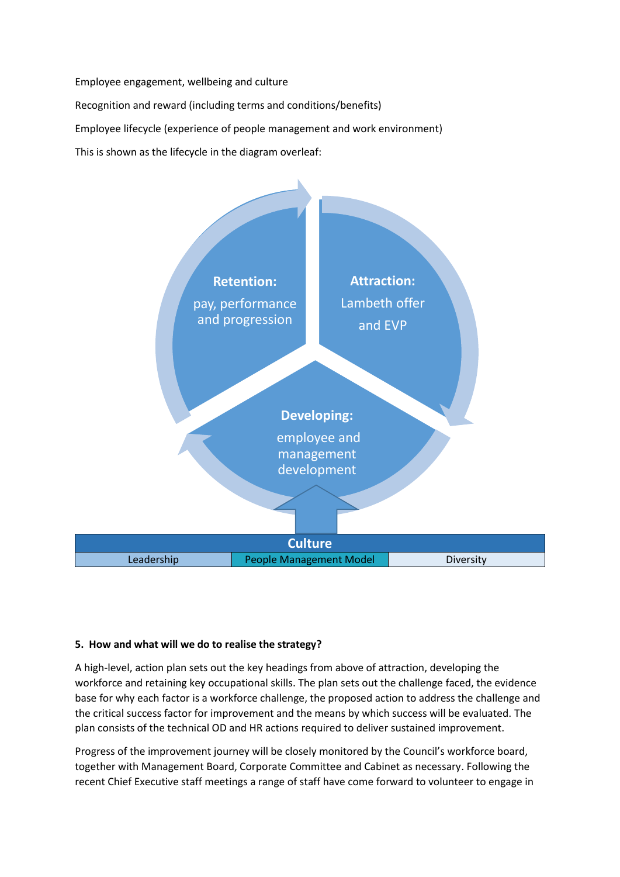Employee engagement, wellbeing and culture Recognition and reward (including terms and conditions/benefits) Employee lifecycle (experience of people management and work environment) This is shown as the lifecycle in the diagram overleaf:



### **5. How and what will we do to realise the strategy?**

A high-level, action plan sets out the key headings from above of attraction, developing the workforce and retaining key occupational skills. The plan sets out the challenge faced, the evidence base for why each factor is a workforce challenge, the proposed action to address the challenge and the critical success factor for improvement and the means by which success will be evaluated. The plan consists of the technical OD and HR actions required to deliver sustained improvement.

Progress of the improvement journey will be closely monitored by the Council's workforce board, together with Management Board, Corporate Committee and Cabinet as necessary. Following the recent Chief Executive staff meetings a range of staff have come forward to volunteer to engage in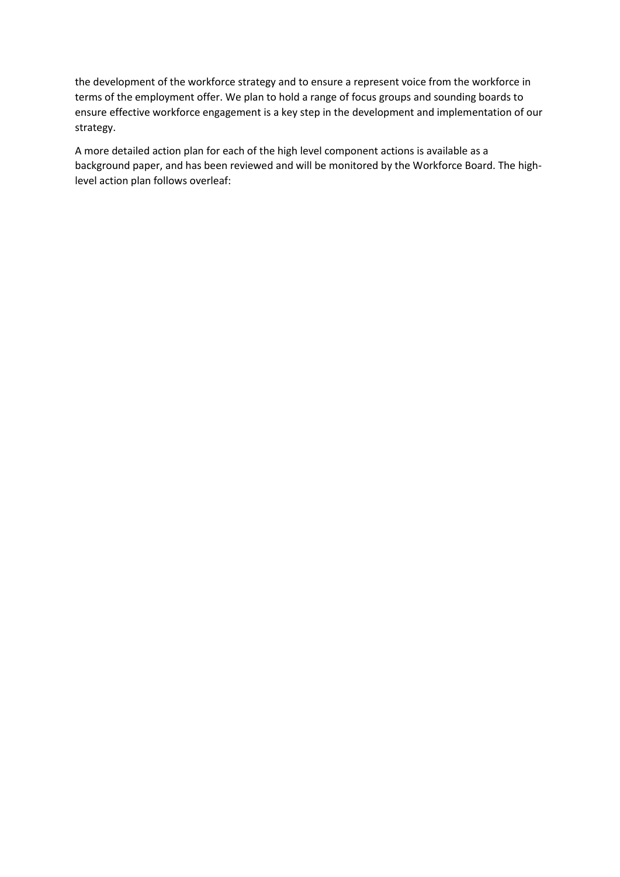the development of the workforce strategy and to ensure a represent voice from the workforce in terms of the employment offer. We plan to hold a range of focus groups and sounding boards to ensure effective workforce engagement is a key step in the development and implementation of our strategy.

A more detailed action plan for each of the high level component actions is available as a background paper, and has been reviewed and will be monitored by the Workforce Board. The highlevel action plan follows overleaf: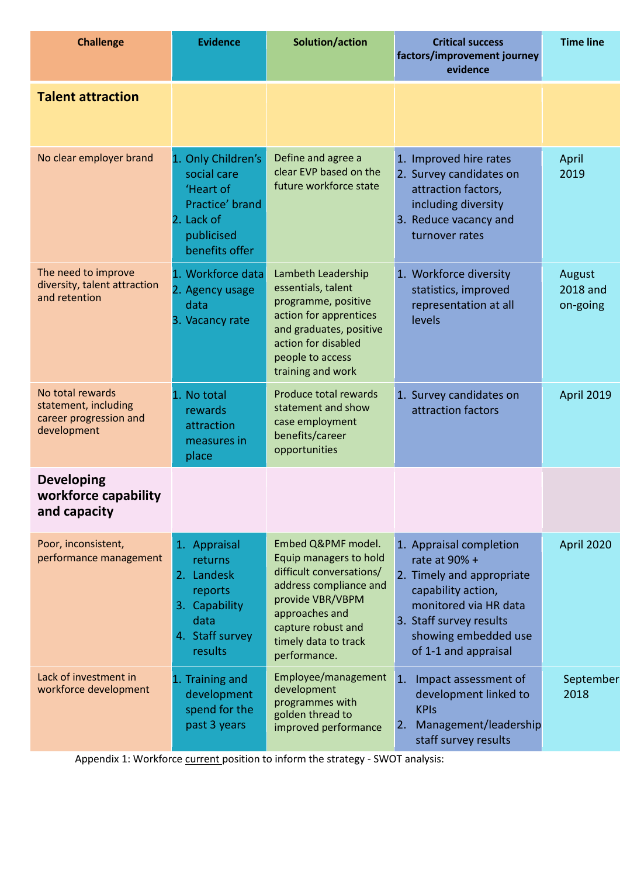| <b>Challenge</b>                                                                  | <b>Evidence</b>                                                                                                 | Solution/action                                                                                                                                                                                        | <b>Critical success</b><br>factors/improvement journey<br>evidence                                                                                                                              | <b>Time line</b>               |
|-----------------------------------------------------------------------------------|-----------------------------------------------------------------------------------------------------------------|--------------------------------------------------------------------------------------------------------------------------------------------------------------------------------------------------------|-------------------------------------------------------------------------------------------------------------------------------------------------------------------------------------------------|--------------------------------|
| <b>Talent attraction</b>                                                          |                                                                                                                 |                                                                                                                                                                                                        |                                                                                                                                                                                                 |                                |
| No clear employer brand                                                           | 1. Only Children's<br>social care<br>'Heart of<br>Practice' brand<br>2. Lack of<br>publicised<br>benefits offer | Define and agree a<br>clear EVP based on the<br>future workforce state                                                                                                                                 | 1. Improved hire rates<br>2. Survey candidates on<br>attraction factors,<br>including diversity<br>3. Reduce vacancy and<br>turnover rates                                                      | April<br>2019                  |
| The need to improve<br>diversity, talent attraction<br>and retention              | 1. Workforce data<br>2. Agency usage<br>data<br>3. Vacancy rate                                                 | Lambeth Leadership<br>essentials, talent<br>programme, positive<br>action for apprentices<br>and graduates, positive<br>action for disabled<br>people to access<br>training and work                   | 1. Workforce diversity<br>statistics, improved<br>representation at all<br>levels                                                                                                               | August<br>2018 and<br>on-going |
| No total rewards<br>statement, including<br>career progression and<br>development | 1. No total<br>rewards<br>attraction<br>measures in<br>place                                                    | Produce total rewards<br>statement and show<br>case employment<br>benefits/career<br>opportunities                                                                                                     | 1. Survey candidates on<br>attraction factors                                                                                                                                                   | <b>April 2019</b>              |
| <b>Developing</b><br>workforce capability<br>and capacity                         |                                                                                                                 |                                                                                                                                                                                                        |                                                                                                                                                                                                 |                                |
| Poor, inconsistent,<br>performance management                                     | 1. Appraisal<br>returns<br>2. Landesk<br>reports<br>3. Capability<br>data<br>4. Staff survey<br>results         | Embed Q&PMF model.<br>Equip managers to hold<br>difficult conversations/<br>address compliance and<br>provide VBR/VBPM<br>approaches and<br>capture robust and<br>timely data to track<br>performance. | 1. Appraisal completion<br>rate at 90% +<br>2. Timely and appropriate<br>capability action,<br>monitored via HR data<br>3. Staff survey results<br>showing embedded use<br>of 1-1 and appraisal | April 2020                     |
| Lack of investment in<br>workforce development                                    | 1. Training and<br>development<br>spend for the<br>past 3 years                                                 | Employee/management<br>development<br>programmes with<br>golden thread to<br>improved performance                                                                                                      | $\mathbf{1}$ .<br>Impact assessment of<br>development linked to<br><b>KPIs</b><br>Management/leadership<br>2.<br>staff survey results                                                           | September<br>2018              |

Appendix 1: Workforce current position to inform the strategy - SWOT analysis: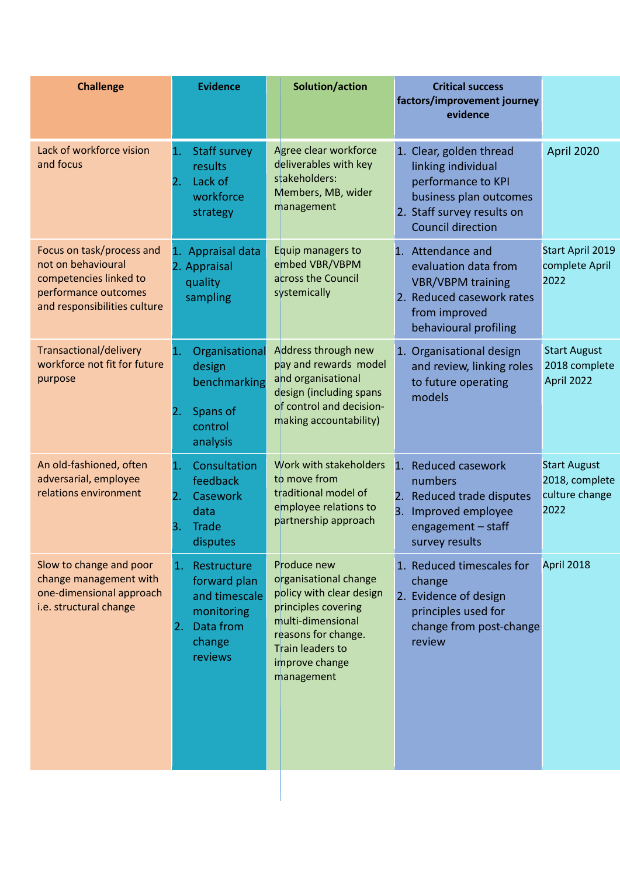| <b>Challenge</b>                                                                                                                  | <b>Evidence</b>                                                                                          | Solution/action                                                                                                                                                                         | <b>Critical success</b><br>factors/improvement journey<br>evidence                                                                                      |                                                                 |
|-----------------------------------------------------------------------------------------------------------------------------------|----------------------------------------------------------------------------------------------------------|-----------------------------------------------------------------------------------------------------------------------------------------------------------------------------------------|---------------------------------------------------------------------------------------------------------------------------------------------------------|-----------------------------------------------------------------|
| Lack of workforce vision<br>and focus                                                                                             | 1.<br><b>Staff survey</b><br>results<br>Lack of<br>2.<br>workforce<br>strategy                           | Agree clear workforce<br>deliverables with key<br>stakeholders:<br>Members, MB, wider<br>management                                                                                     | 1. Clear, golden thread<br>linking individual<br>performance to KPI<br>business plan outcomes<br>2. Staff survey results on<br><b>Council direction</b> | April 2020                                                      |
| Focus on task/process and<br>not on behavioural<br>competencies linked to<br>performance outcomes<br>and responsibilities culture | Appraisal data<br>1.<br>2. Appraisal<br>quality<br>sampling                                              | Equip managers to<br>embed VBR/VBPM<br>across the Council<br>systemically                                                                                                               | 1. Attendance and<br>evaluation data from<br><b>VBR/VBPM</b> training<br>2. Reduced casework rates<br>from improved<br>behavioural profiling            | Start April 2019<br>complete April<br>2022                      |
| Transactional/delivery<br>workforce not fit for future<br>purpose                                                                 | Organisational<br>$\mathbf{1}$<br>design<br>benchmarking<br>Spans of<br>2.<br>control<br>analysis        | Address through new<br>pay and rewards model<br>and organisational<br>design (including spans<br>of control and decision-<br>making accountability)                                     | 1. Organisational design<br>and review, linking roles<br>to future operating<br>models                                                                  | <b>Start August</b><br>2018 complete<br>April 2022              |
| An old-fashioned, often<br>adversarial, employee<br>relations environment                                                         | Consultation<br>1.<br>feedback<br>2.<br>Casework<br>data<br><b>Trade</b><br>3.<br>disputes               | Work with stakeholders<br>to move from<br>traditional model of<br>employee relations to<br>partnership approach                                                                         | 1. Reduced casework<br>numbers<br>2. Reduced trade disputes<br>3.<br>Improved employee<br>engagement - staff<br>survey results                          | <b>Start August</b><br>2018, complete<br>culture change<br>2022 |
| Slow to change and poor<br>change management with<br>one-dimensional approach<br>i.e. structural change                           | Restructure<br>1.<br>forward plan<br>and timescale<br>monitoring<br>Data from<br>2.<br>change<br>reviews | Produce new<br>organisational change<br>policy with clear design<br>principles covering<br>multi-dimensional<br>reasons for change.<br>Train leaders to<br>improve change<br>management | 1. Reduced timescales for<br>change<br>2. Evidence of design<br>principles used for<br>change from post-change<br>review                                | April 2018                                                      |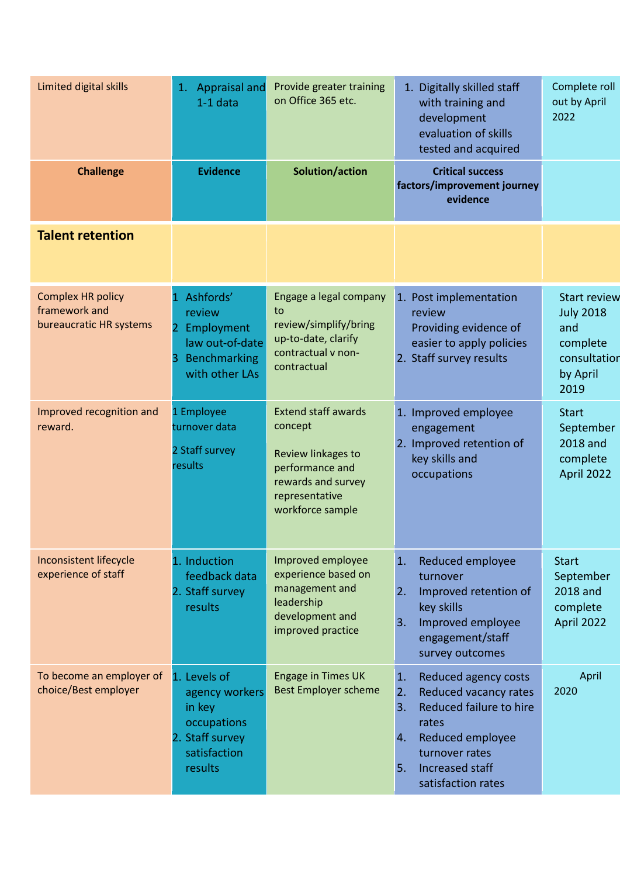| Limited digital skills                                               | <b>Appraisal and</b><br>1.<br>$1-1$ data                                                                      | Provide greater training<br>on Office 365 etc.                                                                                             | 1. Digitally skilled staff<br>with training and<br>development<br>evaluation of skills<br>tested and acquired                                                                                              | Complete roll<br>out by April<br>2022                                                          |
|----------------------------------------------------------------------|---------------------------------------------------------------------------------------------------------------|--------------------------------------------------------------------------------------------------------------------------------------------|------------------------------------------------------------------------------------------------------------------------------------------------------------------------------------------------------------|------------------------------------------------------------------------------------------------|
| <b>Challenge</b>                                                     | <b>Evidence</b>                                                                                               | Solution/action                                                                                                                            | <b>Critical success</b><br>factors/improvement journey<br>evidence                                                                                                                                         |                                                                                                |
| <b>Talent retention</b>                                              |                                                                                                               |                                                                                                                                            |                                                                                                                                                                                                            |                                                                                                |
| <b>Complex HR policy</b><br>framework and<br>bureaucratic HR systems | Ashfords'<br>review<br>$\overline{2}$<br>Employment<br>law out-of-date<br>Benchmarking<br>З<br>with other LAs | Engage a legal company<br>to<br>review/simplify/bring<br>up-to-date, clarify<br>contractual v non-<br>contractual                          | 1. Post implementation<br>review<br>Providing evidence of<br>easier to apply policies<br>2. Staff survey results                                                                                           | <b>Start review</b><br><b>July 2018</b><br>and<br>complete<br>consultation<br>by April<br>2019 |
| Improved recognition and<br>reward.                                  | 1 Employee<br>turnover data<br>2 Staff survey<br>results                                                      | <b>Extend staff awards</b><br>concept<br>Review linkages to<br>performance and<br>rewards and survey<br>representative<br>workforce sample | 1. Improved employee<br>engagement<br>2. Improved retention of<br>key skills and<br>occupations                                                                                                            | <b>Start</b><br>September<br>2018 and<br>complete<br>April 2022                                |
| Inconsistent lifecycle<br>experience of staff                        | 1. Induction<br>feedback data<br>2. Staff survey<br>results                                                   | Improved employee<br>experience based on<br>management and<br>leadership<br>development and<br>improved practice                           | Reduced employee<br>$\mathbf{1}$ .<br>turnover<br>Improved retention of<br>2.<br>key skills<br>Improved employee<br>3.<br>engagement/staff<br>survey outcomes                                              | <b>Start</b><br>September<br>2018 and<br>complete<br>April 2022                                |
| To become an employer of<br>choice/Best employer                     | 1. Levels of<br>agency workers<br>in key<br>occupations<br>2. Staff survey<br>satisfaction<br>results         | <b>Engage in Times UK</b><br><b>Best Employer scheme</b>                                                                                   | Reduced agency costs<br>$\mathbf{1}$ .<br>Reduced vacancy rates<br>2.<br>Reduced failure to hire<br>3.<br>rates<br>Reduced employee<br>4.<br>turnover rates<br>Increased staff<br>5.<br>satisfaction rates | April<br>2020                                                                                  |